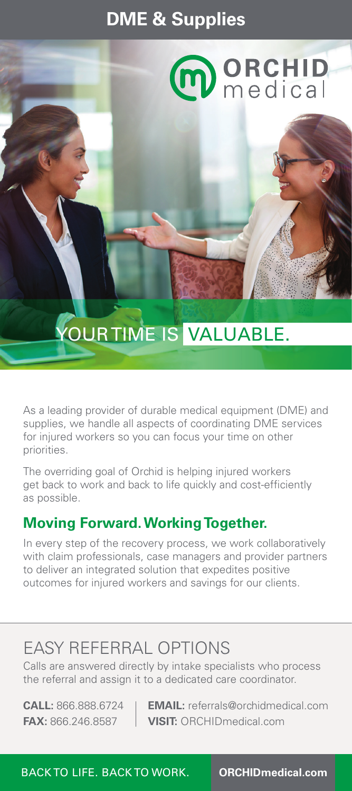## **DME & Supplies**



# YOUR TIME IS VALUABLE.

As a leading provider of durable medical equipment (DME) and supplies, we handle all aspects of coordinating DME services for injured workers so you can focus your time on other priorities.

The overriding goal of Orchid is helping injured workers get back to work and back to life quickly and cost-efficiently as possible.

#### **Moving Forward. Working Together.**

In every step of the recovery process, we work collaboratively with claim professionals, case managers and provider partners to deliver an integrated solution that expedites positive outcomes for injured workers and savings for our clients.

## EASY REFERRAL OPTIONS

Calls are answered directly by intake specialists who process the referral and assign it to a dedicated care coordinator.

**CALL:** 866.888.6724 **EMAIL:** referrals@orchidmedical.com **FAX:** 866.246.8587 **VISIT:** ORCHIDmedical.com

BACK TO LIFE. BACK TO WORK. **ORCHIDmedical.com**